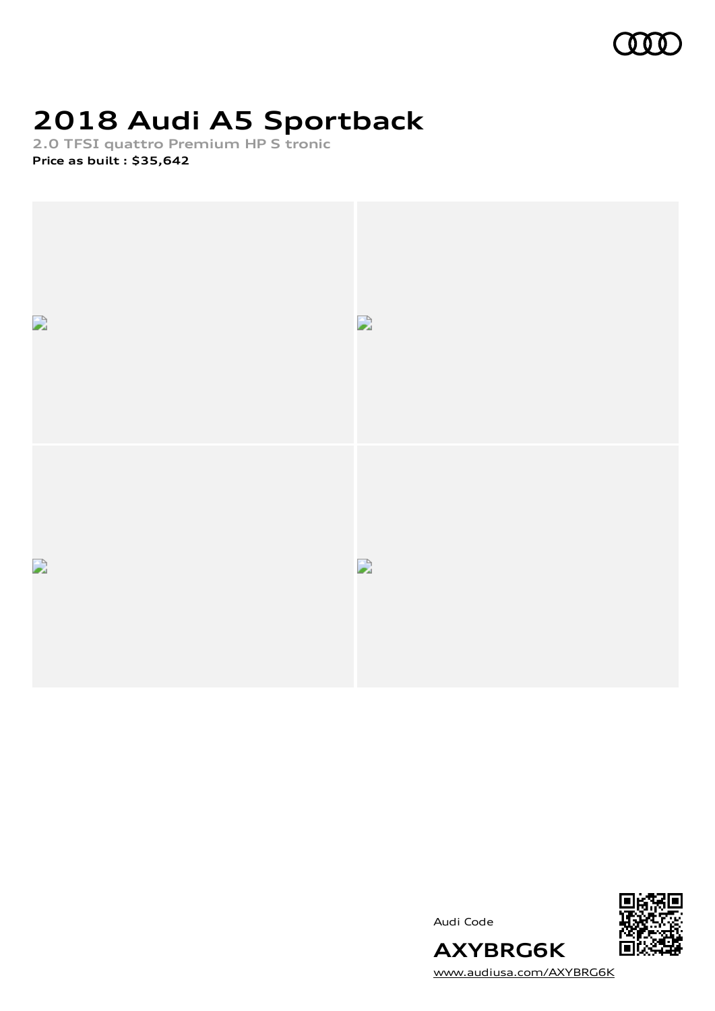

# **2018 Audi A5 Sportback**

**2.0 TFSI quattro Premium HP S tronic**

**Price as built [:](#page-10-0) \$35,642**



Audi Code



[www.audiusa.com/AXYBRG6K](https://www.audiusa.com/AXYBRG6K)

**AXYBRG6K**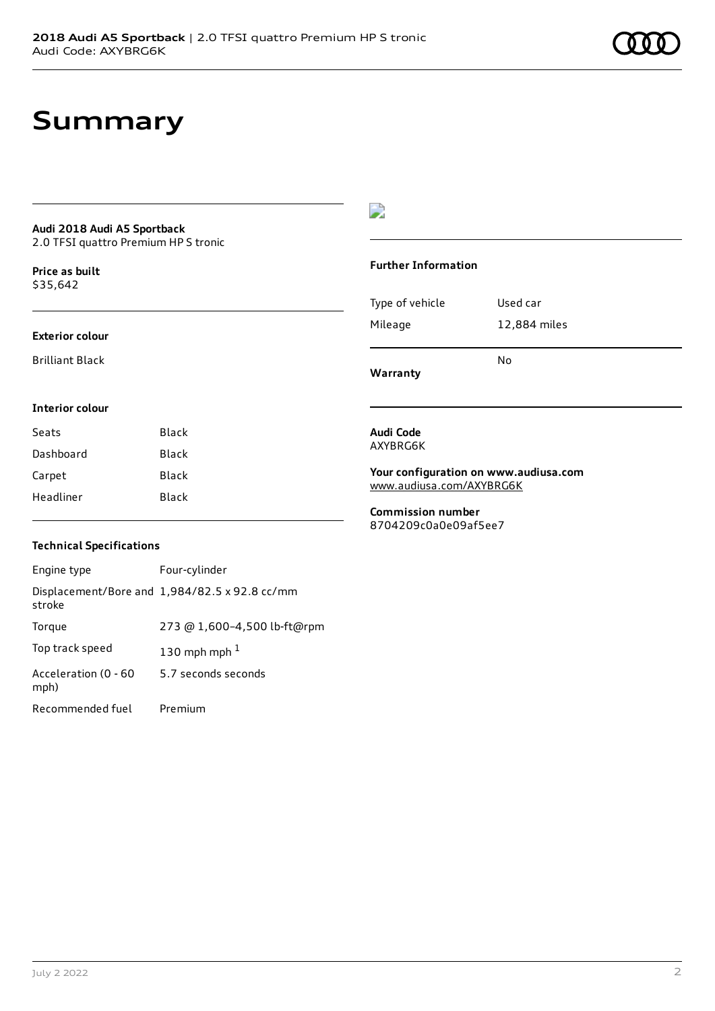### **Summary**

### **Audi 2018 Audi A5 Sportback**

2.0 TFSI quattro Premium HP S tronic

**Price as buil[t](#page-10-0)** \$35,642

#### **Exterior colour**

Brilliant Black

#### $\overline{\phantom{a}}$

#### **Further Information**

|                 | N٥           |
|-----------------|--------------|
| Mileage         | 12,884 miles |
| Type of vehicle | Used car     |

**Warranty**

#### **Interior colour**

| Black<br>Seats |       |
|----------------|-------|
| Dashboard      | Black |
| Carpet         | Black |
| Headliner      | Black |

#### **Audi Code** AXYBRG6K

**Your configuration on www.audiusa.com** [www.audiusa.com/AXYBRG6K](https://www.audiusa.com/AXYBRG6K)

**Commission number** 8704209c0a0e09af5ee7

#### **Technical Specifications**

| Engine type                  | Four-cylinder                                 |
|------------------------------|-----------------------------------------------|
| stroke                       | Displacement/Bore and 1,984/82.5 x 92.8 cc/mm |
| Torque                       | 273 @ 1,600-4,500 lb-ft@rpm                   |
| Top track speed              | 130 mph mph $1$                               |
| Acceleration (0 - 60<br>mph) | 5.7 seconds seconds                           |
| Recommended fuel             | Premium                                       |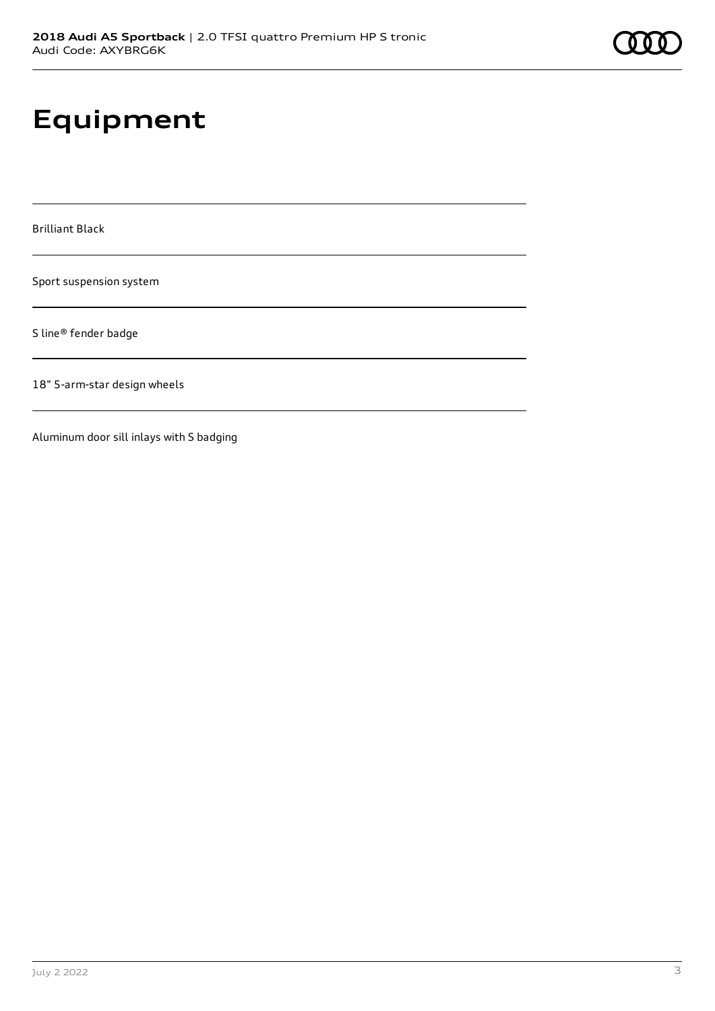# **Equipment**

Brilliant Black

Sport suspension system

S line® fender badge

18" 5-arm-star design wheels

Aluminum door sill inlays with S badging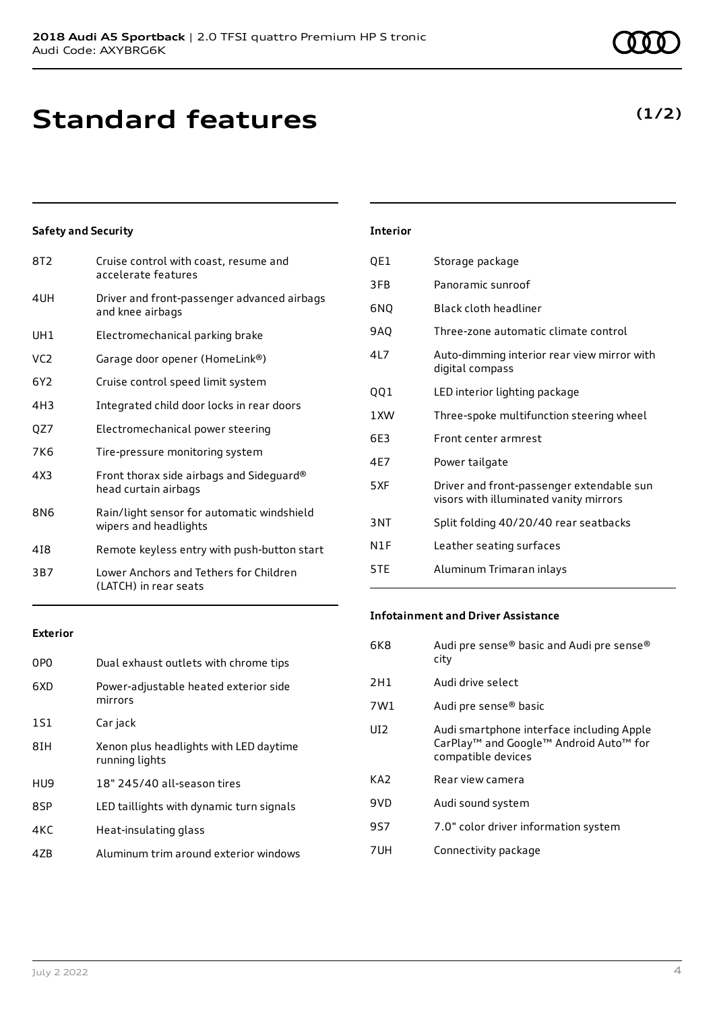## **Standard features**

#### **Safety and Security**

| 8T2             | Cruise control with coast, resume and<br>accelerate features        |
|-----------------|---------------------------------------------------------------------|
| 4UH             | Driver and front-passenger advanced airbags<br>and knee airbags     |
| UH1             | Electromechanical parking brake                                     |
| VC <sub>2</sub> | Garage door opener (HomeLink®)                                      |
| 6Y2             | Cruise control speed limit system                                   |
| 4H3             | Integrated child door locks in rear doors                           |
| QZ7             | Electromechanical power steering                                    |
| 7K6             | Tire-pressure monitoring system                                     |
| 4X3             | Front thorax side airbags and Sideguard®<br>head curtain airbags    |
| 8N6             | Rain/light sensor for automatic windshield<br>wipers and headlights |
| 418             | Remote keyless entry with push-button start                         |
| 3B7             | Lower Anchors and Tethers for Children<br>(LATCH) in rear seats     |

#### **Exterior**

| 0P <sub>0</sub> | Dual exhaust outlets with chrome tips                    |
|-----------------|----------------------------------------------------------|
| 6XD             | Power-adjustable heated exterior side<br>mirrors         |
| 1S1             | Car jack                                                 |
| 8IH             | Xenon plus headlights with LED daytime<br>running lights |
| HU9             | 18" 245/40 all-season tires                              |
| 8SP             | LED taillights with dynamic turn signals                 |
| 4KC             | Heat-insulating glass                                    |
| 47B             | Aluminum trim around exterior windows                    |
|                 |                                                          |

### **Interior**

| QE1             | Storage package                                                                     |
|-----------------|-------------------------------------------------------------------------------------|
| 3FB             | Panoramic sunroof                                                                   |
| 6NQ             | Black cloth headliner                                                               |
| 9AQ             | Three-zone automatic climate control                                                |
| 4L7             | Auto-dimming interior rear view mirror with<br>digital compass                      |
| QQ1             | LED interior lighting package                                                       |
| 1XW             | Three-spoke multifunction steering wheel                                            |
| 6E3             | Front center armrest                                                                |
| 4E7             | Power tailgate                                                                      |
| 5 X F           | Driver and front-passenger extendable sun<br>visors with illuminated vanity mirrors |
| 3 <sub>NT</sub> | Split folding 40/20/40 rear seatbacks                                               |
| N1F             | Leather seating surfaces                                                            |
| 5TE             | Aluminum Trimaran inlays                                                            |

#### **Infotainment and Driver Assistance**

| 6K8 | Audi pre sense® basic and Audi pre sense®<br>city                                                                                 |
|-----|-----------------------------------------------------------------------------------------------------------------------------------|
| 2H1 | Audi drive select                                                                                                                 |
| 7W1 | Audi pre sense® basic                                                                                                             |
| UI2 | Audi smartphone interface including Apple<br>CarPlay <sup>™</sup> and Google™ Android Auto <sup>™</sup> for<br>compatible devices |
| KA2 | Rear view camera                                                                                                                  |
| 9VD | Audi sound system                                                                                                                 |
| 9S7 | 7.0" color driver information system                                                                                              |
| 7UH | Connectivity package                                                                                                              |

### **(1/2)**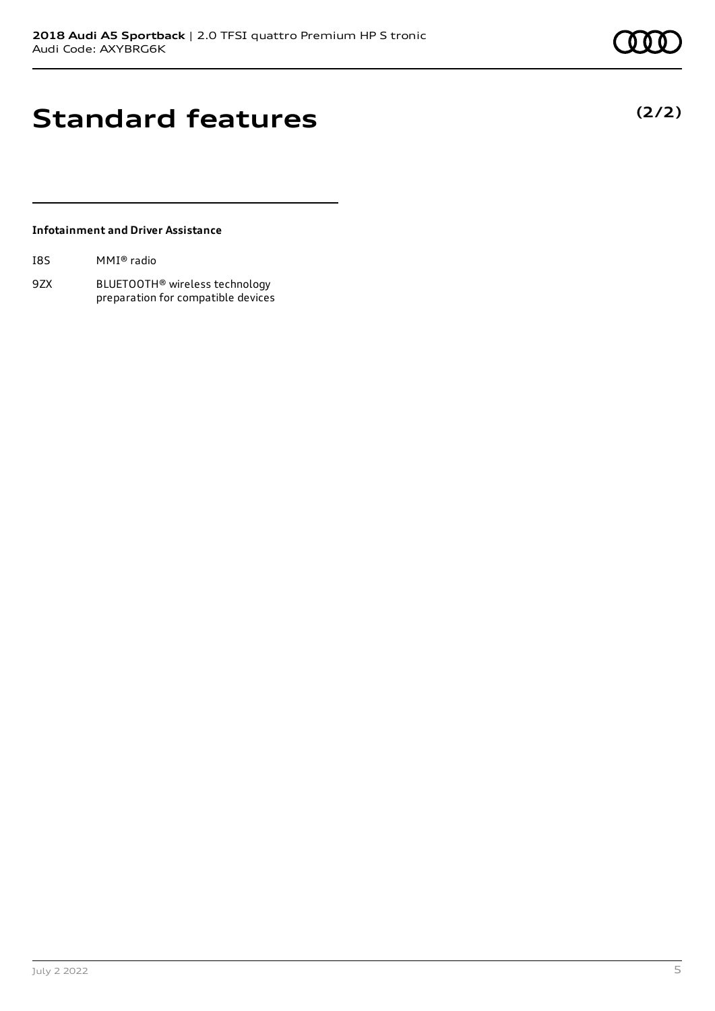# **Standard features**

#### **Infotainment and Driver Assistance**

| I8S | MMI® radio |  |
|-----|------------|--|
|     |            |  |

9ZX BLUETOOTH® wireless technology preparation for compatible devices **(2/2)**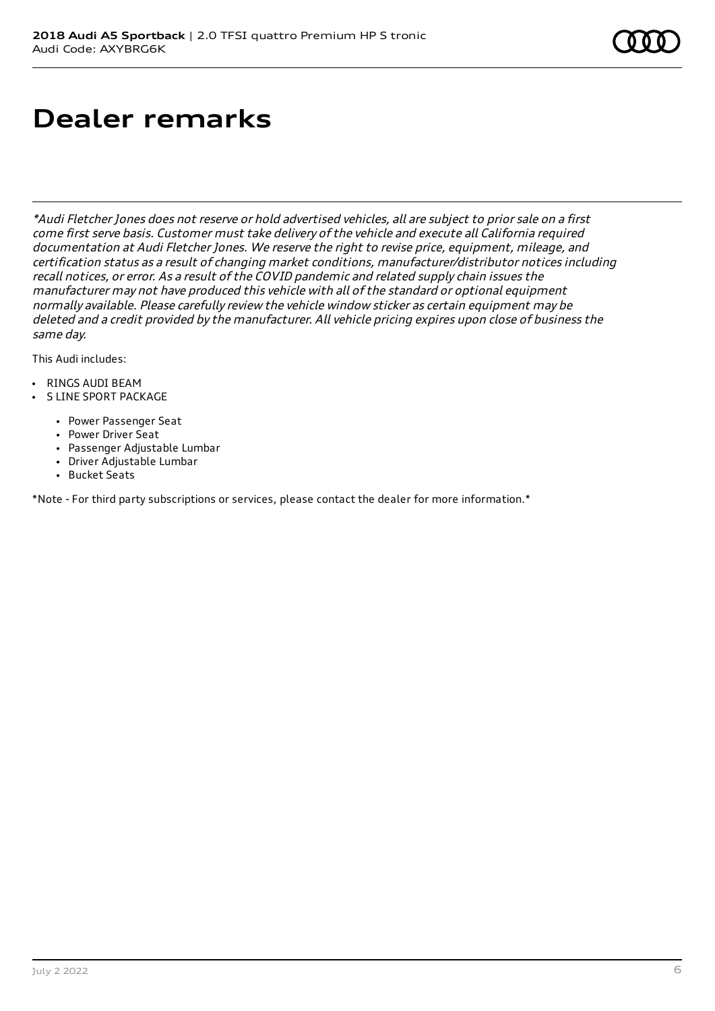## **Dealer remarks**

\*Audi Fletcher Jones does not reserve or hold advertised vehicles, all are subject to prior sale on <sup>a</sup> first come first serve basis. Customer must take delivery of the vehicle and execute all California required documentation at Audi Fletcher Jones. We reserve the right to revise price, equipment, mileage, and certification status as <sup>a</sup> result of changing market conditions, manufacturer/distributor notices including recall notices, or error. As <sup>a</sup> result of the COVID pandemic and related supply chain issues the manufacturer may not have produced this vehicle with all of the standard or optional equipment normally available. Please carefully review the vehicle window sticker as certain equipment may be deleted and <sup>a</sup> credit provided by the manufacturer. All vehicle pricing expires upon close of business the same day.

This Audi includes:

- RINGS AUDI BEAM
- S LINE SPORT PACKAGE
	- Power Passenger Seat
	- Power Driver Seat
	- Passenger Adjustable Lumbar
	- Driver Adjustable Lumbar
	- Bucket Seats

\*Note - For third party subscriptions or services, please contact the dealer for more information.\*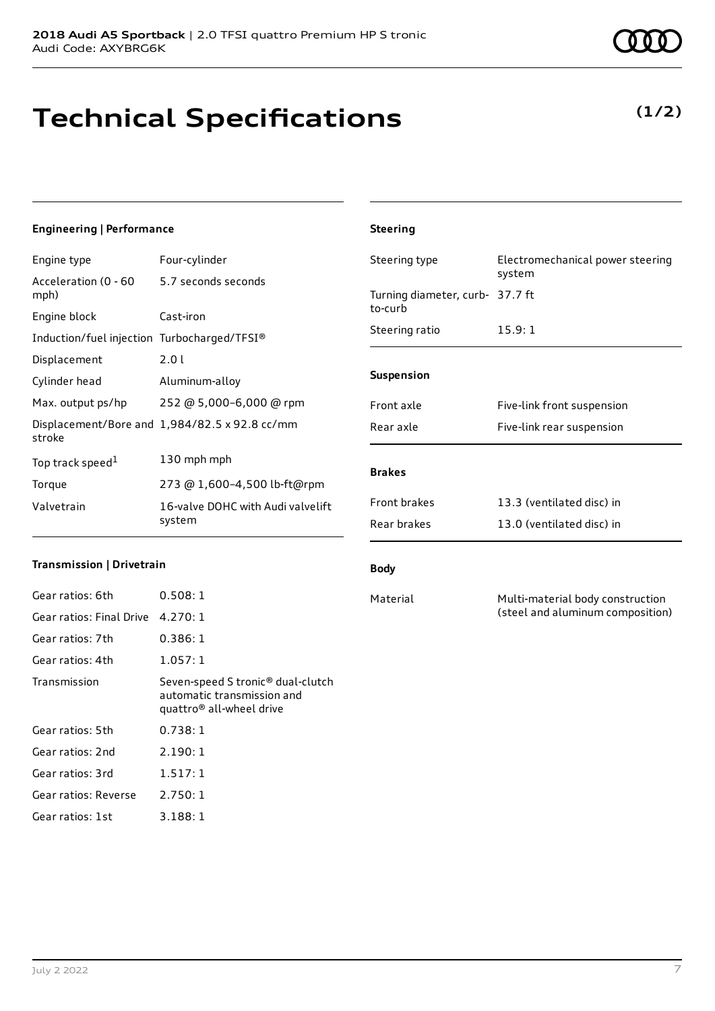# **Technical Specifications**

### **Engineering | Performance**

Engine type Four-cylinder

| Acceleration (0 - 60 5.7 seconds seconds<br>mph) |                                               |
|--------------------------------------------------|-----------------------------------------------|
| Engine block                                     | Cast-iron                                     |
| Induction/fuel injection Turbocharged/TFSI®      |                                               |
| Displacement                                     | 2.01                                          |
| Cylinder head                                    | Aluminum-alloy                                |
| Max. output ps/hp                                | 252 @ 5,000-6,000 @ rpm                       |
| stroke                                           | Displacement/Bore and 1,984/82.5 x 92.8 cc/mm |
| Top track speed <sup>1</sup>                     | 130 mph mph                                   |
| Torque                                           | 273 @ 1,600-4,500 lb-ft@rpm                   |
| Valvetrain                                       | 16-valve DOHC with Audi valvelift<br>system   |

#### **Transmission | Drivetrain**

| Gear ratios: 6th                  | 0.508:1                                                                                                             |
|-----------------------------------|---------------------------------------------------------------------------------------------------------------------|
| Gear ratios: Final Drive 4.270: 1 |                                                                                                                     |
| Gear ratios: 7th                  | 0.386:1                                                                                                             |
| Gear ratios: 4th                  | 1.057:1                                                                                                             |
| Transmission                      | Seven-speed S tronic <sup>®</sup> dual-clutch<br>automatic transmission and<br>quattro <sup>®</sup> all-wheel drive |
| Gear ratios: 5th                  | 0.738:1                                                                                                             |
| Gear ratios: 2nd                  | 2.190:1                                                                                                             |
| Gear ratios: 3rd                  | 1.517:1                                                                                                             |
| Gear ratios: Reverse              | 2.750:1                                                                                                             |
| Gear ratios: 1st                  | 3.188:1                                                                                                             |

### **(1/2)**

|                                            | system                     |  |
|--------------------------------------------|----------------------------|--|
| Turning diameter, curb- 37.7 ft<br>to-curb |                            |  |
| Steering ratio                             | 15.9:1                     |  |
| <b>Suspension</b>                          |                            |  |
| Front axle                                 | Five-link front suspension |  |
| Rear axle                                  | Five-link rear suspension  |  |
| <b>Brakes</b>                              |                            |  |
| <b>Front brakes</b>                        | 13.3 (ventilated disc) in  |  |
| Rear brakes                                | 13.0 (ventilated disc) in  |  |
|                                            |                            |  |

Steering type Electromechanical power steering

#### **Body**

**Steering**

Material Multi-material body construction (steel and aluminum composition)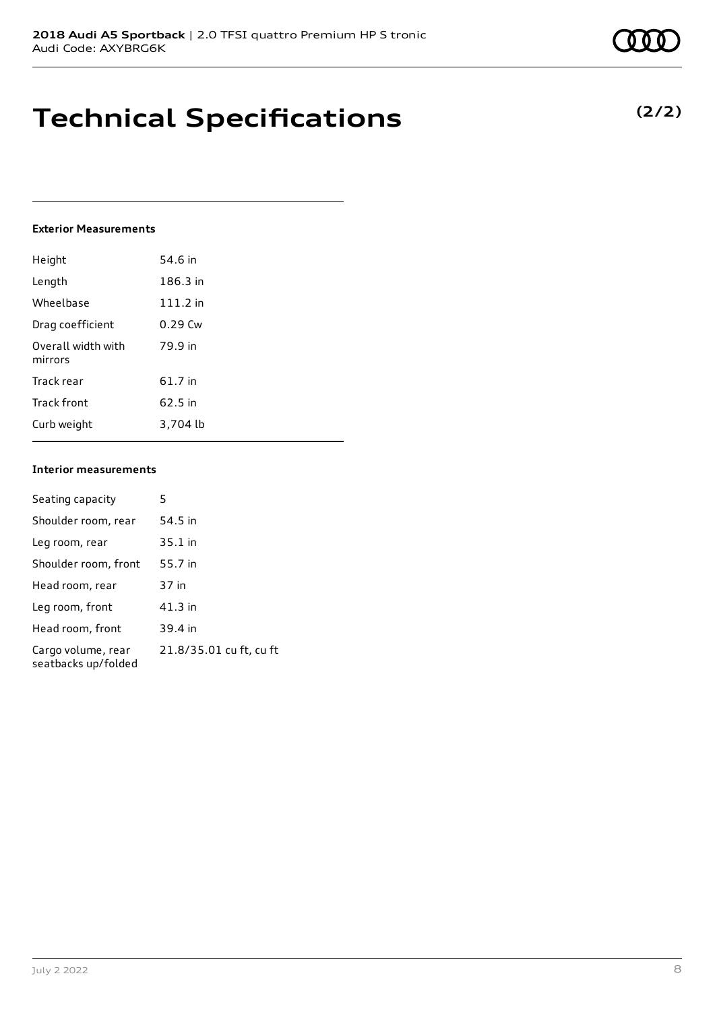### **Technical Specifications**

#### **Exterior Measurements**

| Height                        | 54.6 in    |
|-------------------------------|------------|
| Length                        | 186.3 in   |
| Wheelbase                     | $111.2$ in |
| Drag coefficient              | $0.29$ Cw  |
| Overall width with<br>mirrors | 79.9 in    |
| Track rear                    | 61.7 in    |
| Track front                   | 62.5 in    |
| Curb weight                   | 3.704 lb   |

#### **Interior measurements**

| Seating capacity                          | 5                       |
|-------------------------------------------|-------------------------|
| Shoulder room, rear                       | 54.5 in                 |
| Leg room, rear                            | $35.1$ in               |
| Shoulder room, front                      | 55.7 in                 |
| Head room, rear                           | 37 in                   |
| Leg room, front                           | 41.3 in                 |
| Head room, front                          | 39.4 in                 |
| Cargo volume, rear<br>seatbacks up/folded | 21.8/35.01 cu ft, cu ft |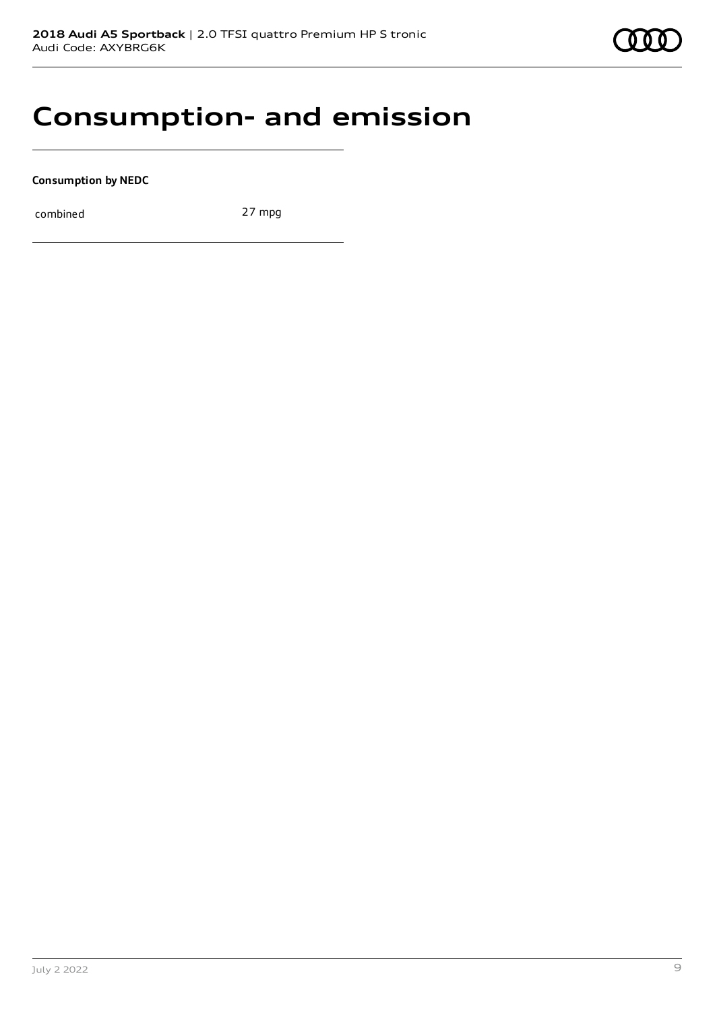

### **Consumption- and emission**

**Consumption by NEDC**

combined 27 mpg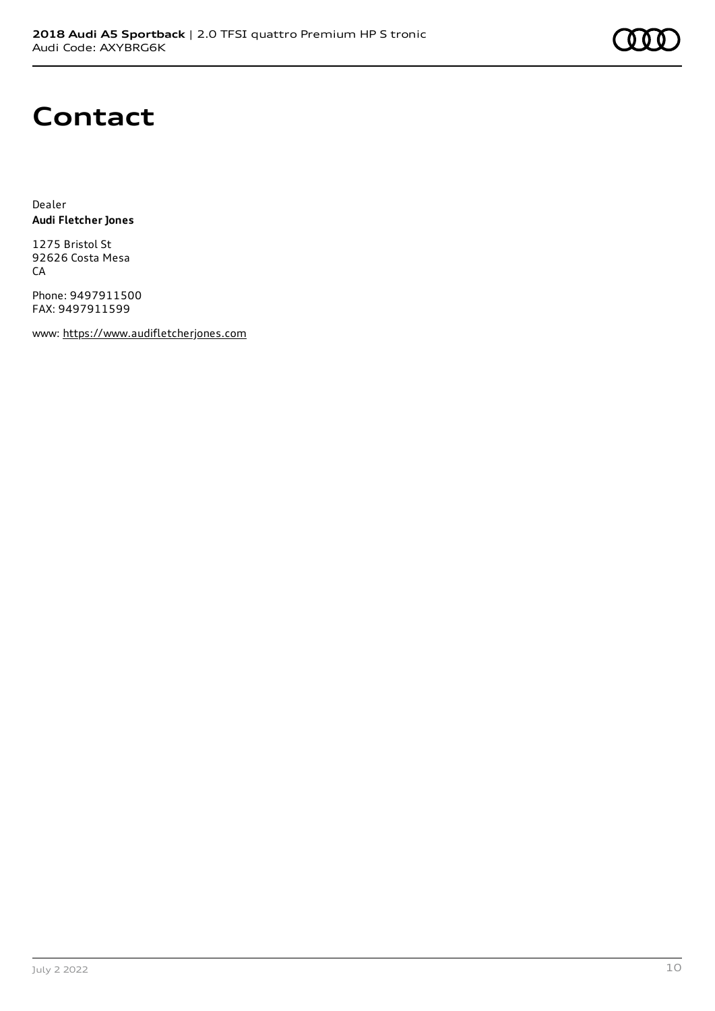

### **Contact**

Dealer **Audi Fletcher Jones**

1275 Bristol St 92626 Costa Mesa **CA** 

Phone: 9497911500 FAX: 9497911599

www: [https://www.audifletcherjones.com](https://www.audifletcherjones.com/)